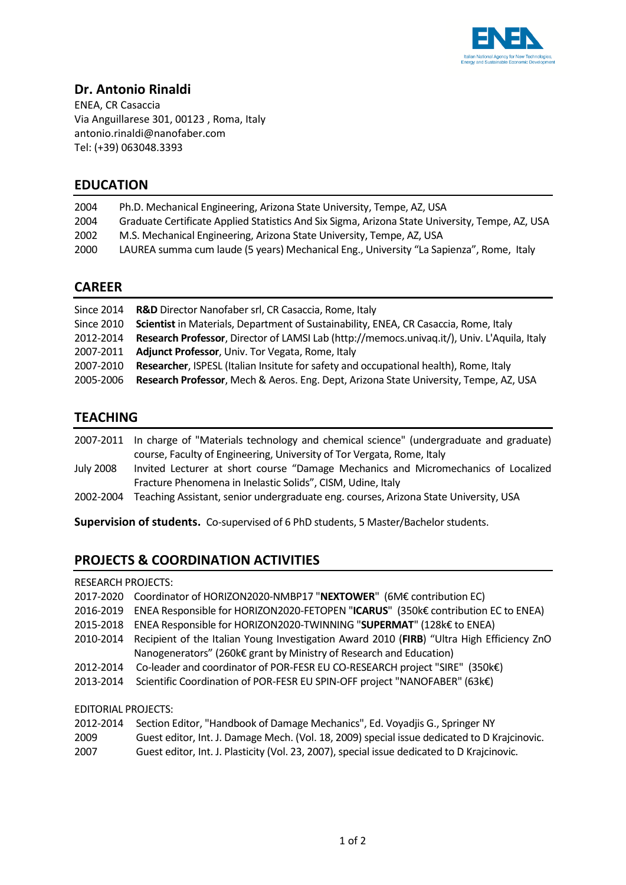

## **Dr. Antonio Rinaldi**

ENEA, CR Casaccia Via Anguillarese 301, 00123 , Roma, Italy antonio.rinaldi@nanofaber.com Tel: (+39) 063048.3393

## **EDUCATION**

| 2004 | Ph.D. Mechanical Engineering, Arizona State University, Tempe, AZ, USA                          |
|------|-------------------------------------------------------------------------------------------------|
| 2004 | Graduate Certificate Applied Statistics And Six Sigma, Arizona State University, Tempe, AZ, USA |
| 2002 | M.S. Mechanical Engineering, Arizona State University, Tempe, AZ, USA                           |
| 2000 | LAUREA summa cum laude (5 years) Mechanical Eng., University "La Sapienza", Rome, Italy         |
|      |                                                                                                 |

## **CAREER**

|            | Since 2014 R&D Director Nanofaber srl, CR Casaccia, Rome, Italy                                 |
|------------|-------------------------------------------------------------------------------------------------|
| Since 2010 | Scientist in Materials, Department of Sustainability, ENEA, CR Casaccia, Rome, Italy            |
| 2012-2014  | Research Professor, Director of LAMSI Lab (http://memocs.univag.it/), Univ. L'Aquila, Italy     |
| 2007-2011  | <b>Adjunct Professor, Univ. Tor Vegata, Rome, Italy</b>                                         |
| 2007-2010  | Researcher, ISPESL (Italian Insitute for safety and occupational health), Rome, Italy           |
|            | 2005-2006 Research Professor, Mech & Aeros. Eng. Dept, Arizona State University, Tempe, AZ, USA |

# **TEACHING**

|           | 2007-2011 In charge of "Materials technology and chemical science" (undergraduate and graduate) |
|-----------|-------------------------------------------------------------------------------------------------|
|           | course, Faculty of Engineering, University of Tor Vergata, Rome, Italy                          |
| July 2008 | Invited Lecturer at short course "Damage Mechanics and Micromechanics of Localized              |
|           | Fracture Phenomena in Inelastic Solids", CISM, Udine, Italy                                     |

2002-2004 Teaching Assistant, senior undergraduate eng. courses, Arizona State University, USA

**Supervision of students.** Co-supervised of 6 PhD students, 5 Master/Bachelor students.

# **PROJECTS & COORDINATION ACTIVITIES**

#### RESEARCH PROJECTS:

- 2017-2020 Coordinator of HORIZON2020-NMBP17 "**NEXTOWER**" (6M€ contribution EC)
- 2016-2019 ENEA Responsible for HORIZON2020-FETOPEN "**ICARUS**" (350k€ contribution EC to ENEA)
- 2015-2018 ENEA Responsible for HORIZON2020-TWINNING "**SUPERMAT**" (128k€ to ENEA)
- 2010-2014 Recipient of the Italian Young Investigation Award 2010 (**FIRB**) "Ultra High Efficiency ZnO Nanogenerators" (260k€ grant by Ministry of Research and Education)
- 2012-2014 Co-leader and coordinator of POR-FESR EU CO-RESEARCH project "SIRE" (350k€)
- 2013-2014 Scientific Coordination of POR-FESR EU SPIN-OFF project "NANOFABER" (63k€)

#### EDITORIAL PROJECTS:

| 2012-2014 | Section Editor, "Handbook of Damage Mechanics", Ed. Voyadjis G., Springer NY                 |
|-----------|----------------------------------------------------------------------------------------------|
| 2009      | Guest editor, Int. J. Damage Mech. (Vol. 18, 2009) special issue dedicated to D Krajcinovic. |
| 2007      | Guest editor, Int. J. Plasticity (Vol. 23, 2007), special issue dedicated to D Krajcinovic.  |